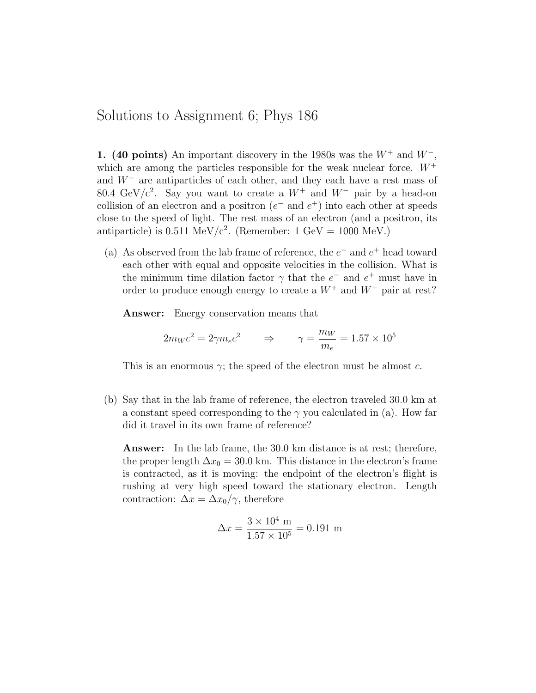## Solutions to Assignment 6; Phys 186

1. (40 points) An important discovery in the 1980s was the  $W^+$  and  $W^-$ , which are among the particles responsible for the weak nuclear force.  $W^+$ and  $W^-$  are antiparticles of each other, and they each have a rest mass of 80.4 GeV/c<sup>2</sup>. Say you want to create a  $W^+$  and  $W^-$  pair by a head-on collision of an electron and a positron  $(e^-$  and  $e^+)$  into each other at speeds close to the speed of light. The rest mass of an electron (and a positron, its antiparticle) is  $0.511 \text{ MeV}/c^2$ . (Remember:  $1 \text{ GeV} = 1000 \text{ MeV}$ .)

(a) As observed from the lab frame of reference, the  $e^-$  and  $e^+$  head toward each other with equal and opposite velocities in the collision. What is the minimum time dilation factor  $\gamma$  that the  $e^-$  and  $e^+$  must have in order to produce enough energy to create a  $W^+$  and  $W^-$  pair at rest?

Answer: Energy conservation means that

$$
2m_Wc^2 = 2\gamma m_ec^2 \qquad \Rightarrow \qquad \gamma = \frac{m_W}{m_e} = 1.57 \times 10^5
$$

This is an enormous  $\gamma$ ; the speed of the electron must be almost c.

(b) Say that in the lab frame of reference, the electron traveled 30.0 km at a constant speed corresponding to the  $\gamma$  you calculated in (a). How far did it travel in its own frame of reference?

Answer: In the lab frame, the 30.0 km distance is at rest; therefore, the proper length  $\Delta x_0 = 30.0$  km. This distance in the electron's frame is contracted, as it is moving: the endpoint of the electron's flight is rushing at very high speed toward the stationary electron. Length contraction:  $\Delta x = \Delta x_0 / \gamma$ , therefore

$$
\Delta x = \frac{3 \times 10^4 \text{ m}}{1.57 \times 10^5} = 0.191 \text{ m}
$$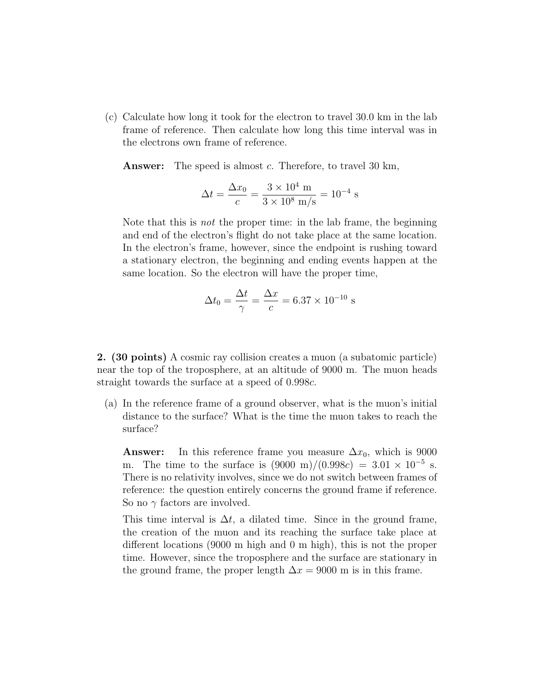(c) Calculate how long it took for the electron to travel 30.0 km in the lab frame of reference. Then calculate how long this time interval was in the electrons own frame of reference.

Answer: The speed is almost c. Therefore, to travel 30 km,

$$
\Delta t = \frac{\Delta x_0}{c} = \frac{3 \times 10^4 \text{ m}}{3 \times 10^8 \text{ m/s}} = 10^{-4} \text{ s}
$$

Note that this is not the proper time: in the lab frame, the beginning and end of the electron's flight do not take place at the same location. In the electron's frame, however, since the endpoint is rushing toward a stationary electron, the beginning and ending events happen at the same location. So the electron will have the proper time,

$$
\Delta t_0 = \frac{\Delta t}{\gamma} = \frac{\Delta x}{c} = 6.37 \times 10^{-10} \text{ s}
$$

2. (30 points) A cosmic ray collision creates a muon (a subatomic particle) near the top of the troposphere, at an altitude of 9000 m. The muon heads straight towards the surface at a speed of 0.998c.

(a) In the reference frame of a ground observer, what is the muon's initial distance to the surface? What is the time the muon takes to reach the surface?

**Answer:** In this reference frame you measure  $\Delta x_0$ , which is 9000 m. The time to the surface is  $(9000 \text{ m})/(0.998c) = 3.01 \times 10^{-5} \text{ s}.$ There is no relativity involves, since we do not switch between frames of reference: the question entirely concerns the ground frame if reference. So no  $\gamma$  factors are involved.

This time interval is  $\Delta t$ , a dilated time. Since in the ground frame, the creation of the muon and its reaching the surface take place at different locations (9000 m high and 0 m high), this is not the proper time. However, since the troposphere and the surface are stationary in the ground frame, the proper length  $\Delta x = 9000$  m is in this frame.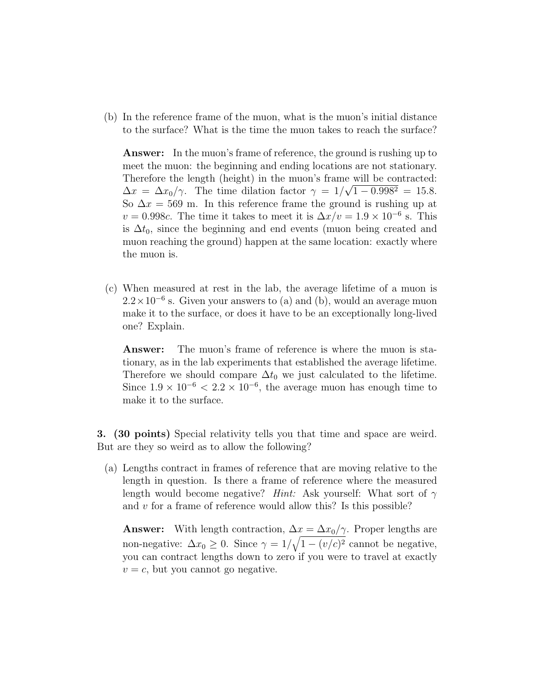(b) In the reference frame of the muon, what is the muon's initial distance to the surface? What is the time the muon takes to reach the surface?

Answer: In the muon's frame of reference, the ground is rushing up to meet the muon: the beginning and ending locations are not stationary. Therefore the length (height) in the muon's frame will be contracted:  $\Delta x = \Delta x_0/\gamma$ . The time dilation factor  $\gamma = 1/\sqrt{1 - 0.998^2} = 15.8$ . So  $\Delta x = 569$  m. In this reference frame the ground is rushing up at  $v = 0.998c$ . The time it takes to meet it is  $\Delta x/v = 1.9 \times 10^{-6}$  s. This is  $\Delta t_0$ , since the beginning and end events (muon being created and muon reaching the ground) happen at the same location: exactly where the muon is.

(c) When measured at rest in the lab, the average lifetime of a muon is  $2.2 \times 10^{-6}$  s. Given your answers to (a) and (b), would an average muon make it to the surface, or does it have to be an exceptionally long-lived one? Explain.

Answer: The muon's frame of reference is where the muon is stationary, as in the lab experiments that established the average lifetime. Therefore we should compare  $\Delta t_0$  we just calculated to the lifetime. Since  $1.9 \times 10^{-6}$  <  $2.2 \times 10^{-6}$ , the average muon has enough time to make it to the surface.

3. (30 points) Special relativity tells you that time and space are weird. But are they so weird as to allow the following?

(a) Lengths contract in frames of reference that are moving relative to the length in question. Is there a frame of reference where the measured length would become negative? Hint: Ask yourself: What sort of  $\gamma$ and v for a frame of reference would allow this? Is this possible?

**Answer:** With length contraction,  $\Delta x = \Delta x_0 / \gamma$ . Proper lengths are non-negative:  $\Delta x_0 \geq 0$ . Since  $\gamma = 1/\sqrt{1 - (v/c)^2}$  cannot be negative, you can contract lengths down to zero if you were to travel at exactly  $v = c$ , but you cannot go negative.